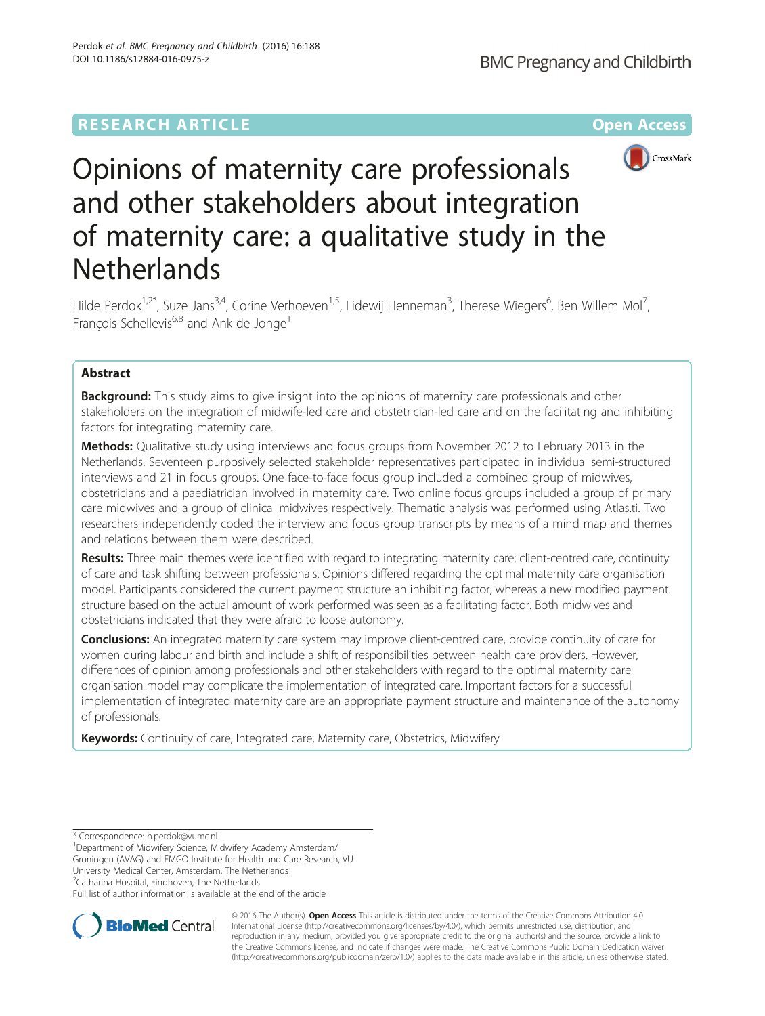## **RESEARCH ARTICLE Example 2014 12:30 The Contract of Contract ACCESS**



# Opinions of maternity care professionals and other stakeholders about integration of maternity care: a qualitative study in the **Netherlands**

Hilde Perdok<sup>1,2\*</sup>, Suze Jans<sup>3,4</sup>, Corine Verhoeven<sup>1,5</sup>, Lidewij Henneman<sup>3</sup>, Therese Wiegers<sup>6</sup>, Ben Willem Mol<sup>7</sup> , François Schellevis<sup>6,8</sup> and Ank de Jonge<sup>1</sup>

## Abstract

**Background:** This study aims to give insight into the opinions of maternity care professionals and other stakeholders on the integration of midwife-led care and obstetrician-led care and on the facilitating and inhibiting factors for integrating maternity care.

Methods: Qualitative study using interviews and focus groups from November 2012 to February 2013 in the Netherlands. Seventeen purposively selected stakeholder representatives participated in individual semi-structured interviews and 21 in focus groups. One face-to-face focus group included a combined group of midwives, obstetricians and a paediatrician involved in maternity care. Two online focus groups included a group of primary care midwives and a group of clinical midwives respectively. Thematic analysis was performed using Atlas.ti. Two researchers independently coded the interview and focus group transcripts by means of a mind map and themes and relations between them were described.

Results: Three main themes were identified with regard to integrating maternity care: client-centred care, continuity of care and task shifting between professionals. Opinions differed regarding the optimal maternity care organisation model. Participants considered the current payment structure an inhibiting factor, whereas a new modified payment structure based on the actual amount of work performed was seen as a facilitating factor. Both midwives and obstetricians indicated that they were afraid to loose autonomy.

Conclusions: An integrated maternity care system may improve client-centred care, provide continuity of care for women during labour and birth and include a shift of responsibilities between health care providers. However, differences of opinion among professionals and other stakeholders with regard to the optimal maternity care organisation model may complicate the implementation of integrated care. Important factors for a successful implementation of integrated maternity care are an appropriate payment structure and maintenance of the autonomy of professionals.

Keywords: Continuity of care, Integrated care, Maternity care, Obstetrics, Midwifery

Groningen (AVAG) and EMGO Institute for Health and Care Research, VU University Medical Center, Amsterdam, The Netherlands

<sup>2</sup>Catharina Hospital, Eindhoven, The Netherlands

Full list of author information is available at the end of the article



© 2016 The Author(s). Open Access This article is distributed under the terms of the Creative Commons Attribution 4.0 International License [\(http://creativecommons.org/licenses/by/4.0/](http://creativecommons.org/licenses/by/4.0/)), which permits unrestricted use, distribution, and reproduction in any medium, provided you give appropriate credit to the original author(s) and the source, provide a link to the Creative Commons license, and indicate if changes were made. The Creative Commons Public Domain Dedication waiver [\(http://creativecommons.org/publicdomain/zero/1.0/](http://creativecommons.org/publicdomain/zero/1.0/)) applies to the data made available in this article, unless otherwise stated.

<sup>\*</sup> Correspondence: [h.perdok@vumc.nl](mailto:h.perdok@vumc.nl) <sup>1</sup>

Department of Midwifery Science, Midwifery Academy Amsterdam/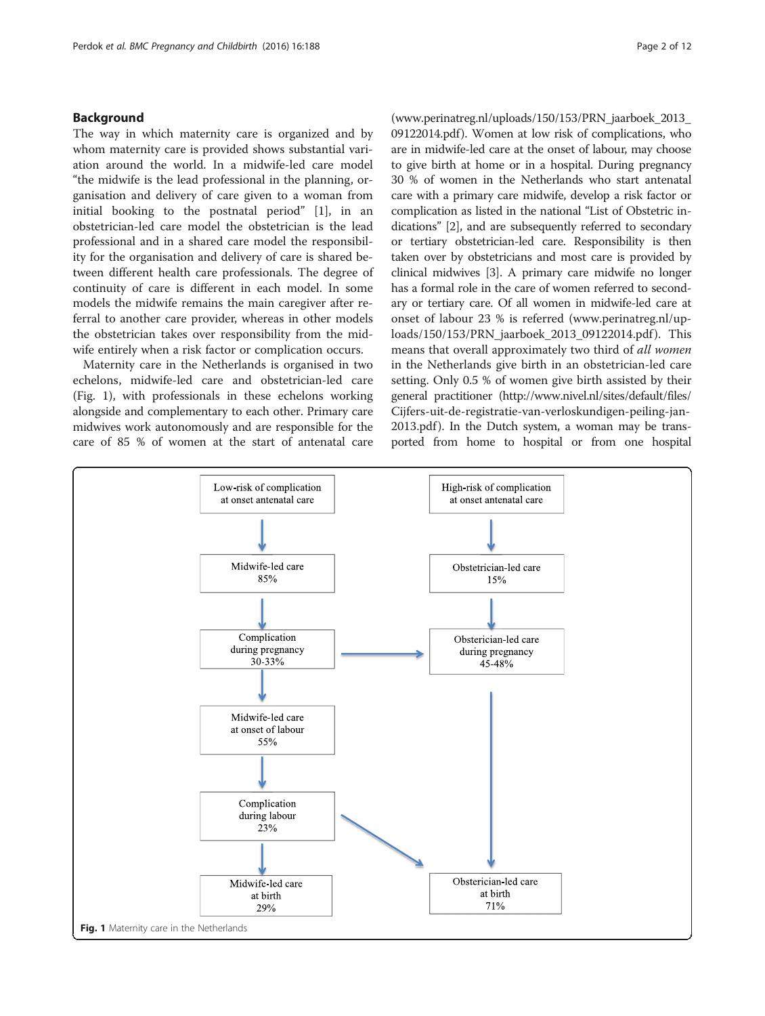## <span id="page-1-0"></span>Background

The way in which maternity care is organized and by whom maternity care is provided shows substantial variation around the world. In a midwife-led care model "the midwife is the lead professional in the planning, organisation and delivery of care given to a woman from initial booking to the postnatal period" [[1\]](#page-11-0), in an obstetrician-led care model the obstetrician is the lead professional and in a shared care model the responsibility for the organisation and delivery of care is shared between different health care professionals. The degree of continuity of care is different in each model. In some models the midwife remains the main caregiver after referral to another care provider, whereas in other models the obstetrician takes over responsibility from the midwife entirely when a risk factor or complication occurs.

Maternity care in the Netherlands is organised in two echelons, midwife-led care and obstetrician-led care (Fig. 1), with professionals in these echelons working alongside and complementary to each other. Primary care midwives work autonomously and are responsible for the care of 85 % of women at the start of antenatal care

([www.perinatreg.nl/uploads/150/153/PRN\\_jaarboek\\_2013\\_](http://www.perinatreg.nl/uploads/150/153/PRN_jaarboek_2013_09122014.pdf) [09122014.pdf](http://www.perinatreg.nl/uploads/150/153/PRN_jaarboek_2013_09122014.pdf)). Women at low risk of complications, who are in midwife-led care at the onset of labour, may choose to give birth at home or in a hospital. During pregnancy 30 % of women in the Netherlands who start antenatal care with a primary care midwife, develop a risk factor or complication as listed in the national "List of Obstetric indications" [\[2](#page-11-0)], and are subsequently referred to secondary or tertiary obstetrician-led care. Responsibility is then taken over by obstetricians and most care is provided by clinical midwives [\[3\]](#page-11-0). A primary care midwife no longer has a formal role in the care of women referred to secondary or tertiary care. Of all women in midwife-led care at onset of labour 23 % is referred [\(www.perinatreg.nl/up](http://www.perinatreg.nl/uploads/150/153/PRN_jaarboek_2013_09122014.pdf)[loads/150/153/PRN\\_jaarboek\\_2013\\_09122014.pdf](http://www.perinatreg.nl/uploads/150/153/PRN_jaarboek_2013_09122014.pdf) ). This means that overall approximately two third of all women in the Netherlands give birth in an obstetrician-led care setting. Only 0.5 % of women give birth assisted by their general practitioner [\(http://www.nivel.nl/sites/default/files/](http://www.nivel.nl/sites/default/files/Cijfers-uit-de-registratie-van-verloskundigen-peiling-jan-2013.pdf) [Cijfers-uit-de-registratie-van-verloskundigen-peiling-jan-](http://www.nivel.nl/sites/default/files/Cijfers-uit-de-registratie-van-verloskundigen-peiling-jan-2013.pdf)[2013.pdf](http://www.nivel.nl/sites/default/files/Cijfers-uit-de-registratie-van-verloskundigen-peiling-jan-2013.pdf)). In the Dutch system, a woman may be transported from home to hospital or from one hospital

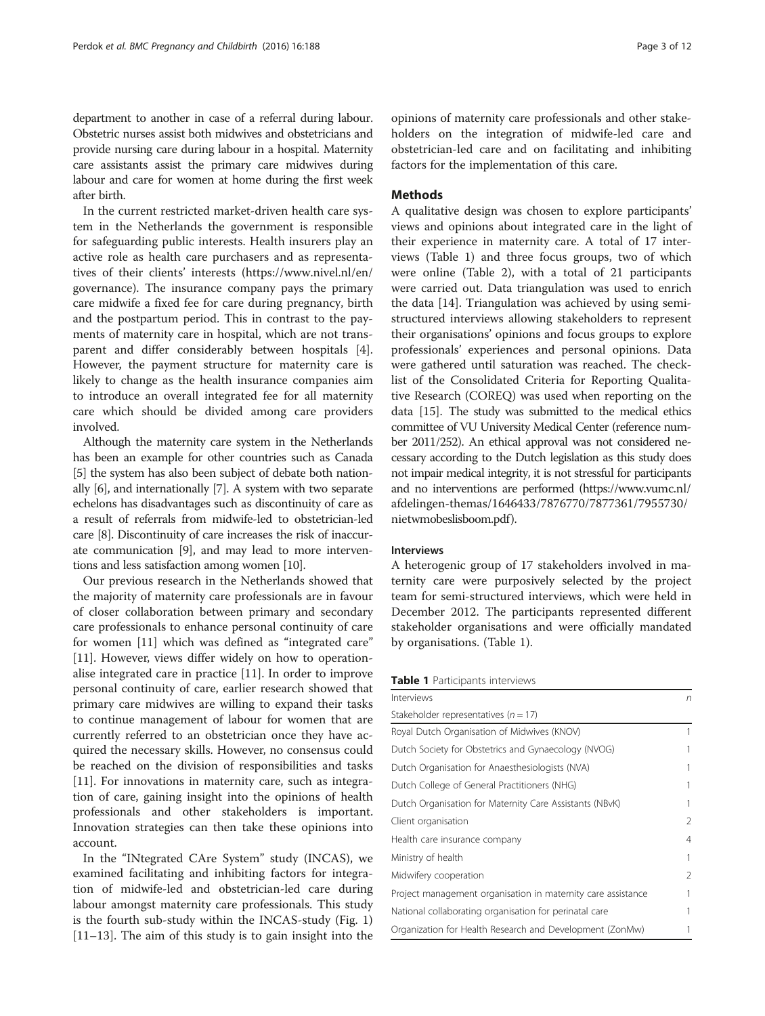department to another in case of a referral during labour. Obstetric nurses assist both midwives and obstetricians and provide nursing care during labour in a hospital. Maternity care assistants assist the primary care midwives during labour and care for women at home during the first week after birth.

In the current restricted market-driven health care system in the Netherlands the government is responsible for safeguarding public interests. Health insurers play an active role as health care purchasers and as representatives of their clients' interests [\(https://www.nivel.nl/en/](https://www.nivel.nl/en/governance) [governance](https://www.nivel.nl/en/governance)). The insurance company pays the primary care midwife a fixed fee for care during pregnancy, birth and the postpartum period. This in contrast to the payments of maternity care in hospital, which are not transparent and differ considerably between hospitals [\[4](#page-11-0)]. However, the payment structure for maternity care is likely to change as the health insurance companies aim to introduce an overall integrated fee for all maternity care which should be divided among care providers involved.

Although the maternity care system in the Netherlands has been an example for other countries such as Canada [[5](#page-11-0)] the system has also been subject of debate both nationally [[6\]](#page-11-0), and internationally [[7](#page-11-0)]. A system with two separate echelons has disadvantages such as discontinuity of care as a result of referrals from midwife-led to obstetrician-led care [[8\]](#page-11-0). Discontinuity of care increases the risk of inaccurate communication [\[9](#page-11-0)], and may lead to more interventions and less satisfaction among women [\[10\]](#page-11-0).

Our previous research in the Netherlands showed that the majority of maternity care professionals are in favour of closer collaboration between primary and secondary care professionals to enhance personal continuity of care for women [[11\]](#page-11-0) which was defined as "integrated care" [[11\]](#page-11-0). However, views differ widely on how to operationalise integrated care in practice [[11\]](#page-11-0). In order to improve personal continuity of care, earlier research showed that primary care midwives are willing to expand their tasks to continue management of labour for women that are currently referred to an obstetrician once they have acquired the necessary skills. However, no consensus could be reached on the division of responsibilities and tasks [[11\]](#page-11-0). For innovations in maternity care, such as integration of care, gaining insight into the opinions of health professionals and other stakeholders is important. Innovation strategies can then take these opinions into account.

In the "INtegrated CAre System" study (INCAS), we examined facilitating and inhibiting factors for integration of midwife-led and obstetrician-led care during labour amongst maternity care professionals. This study is the fourth sub-study within the INCAS-study (Fig. [1](#page-1-0)) [[11](#page-11-0)–[13](#page-11-0)]. The aim of this study is to gain insight into the opinions of maternity care professionals and other stakeholders on the integration of midwife-led care and obstetrician-led care and on facilitating and inhibiting factors for the implementation of this care.

## Methods

A qualitative design was chosen to explore participants' views and opinions about integrated care in the light of their experience in maternity care. A total of 17 interviews (Table 1) and three focus groups, two of which were online (Table [2](#page-3-0)), with a total of 21 participants were carried out. Data triangulation was used to enrich the data [\[14](#page-11-0)]. Triangulation was achieved by using semistructured interviews allowing stakeholders to represent their organisations' opinions and focus groups to explore professionals' experiences and personal opinions. Data were gathered until saturation was reached. The checklist of the Consolidated Criteria for Reporting Qualitative Research (COREQ) was used when reporting on the data [[15](#page-11-0)]. The study was submitted to the medical ethics committee of VU University Medical Center (reference number 2011/252). An ethical approval was not considered necessary according to the Dutch legislation as this study does not impair medical integrity, it is not stressful for participants and no interventions are performed [\(https://www.vumc.nl/](https://www.vumc.nl/afdelingen-themas/1646433/7876770/7877361/7955730/nietwmobeslisboom.pdf) [afdelingen-themas/1646433/7876770/7877361/7955730/](https://www.vumc.nl/afdelingen-themas/1646433/7876770/7877361/7955730/nietwmobeslisboom.pdf) [nietwmobeslisboom.pdf](https://www.vumc.nl/afdelingen-themas/1646433/7876770/7877361/7955730/nietwmobeslisboom.pdf)).

## Interviews

A heterogenic group of 17 stakeholders involved in maternity care were purposively selected by the project team for semi-structured interviews, which were held in December 2012. The participants represented different stakeholder organisations and were officially mandated by organisations. (Table 1).

## Table 1 Participants interviews

| Interviews                                                   |   |
|--------------------------------------------------------------|---|
| Stakeholder representatives ( $n = 17$ )                     |   |
| Royal Dutch Organisation of Midwives (KNOV)                  | 1 |
| Dutch Society for Obstetrics and Gynaecology (NVOG)          |   |
| Dutch Organisation for Anaesthesiologists (NVA)              | 1 |
| Dutch College of General Practitioners (NHG)                 | 1 |
| Dutch Organisation for Maternity Care Assistants (NBvK)      | 1 |
| Client organisation                                          | 2 |
| Health care insurance company                                | 4 |
| Ministry of health                                           | 1 |
| Midwifery cooperation                                        | 2 |
| Project management organisation in maternity care assistance | 1 |
| National collaborating organisation for perinatal care       | 1 |
| Organization for Health Research and Development (ZonMw)     |   |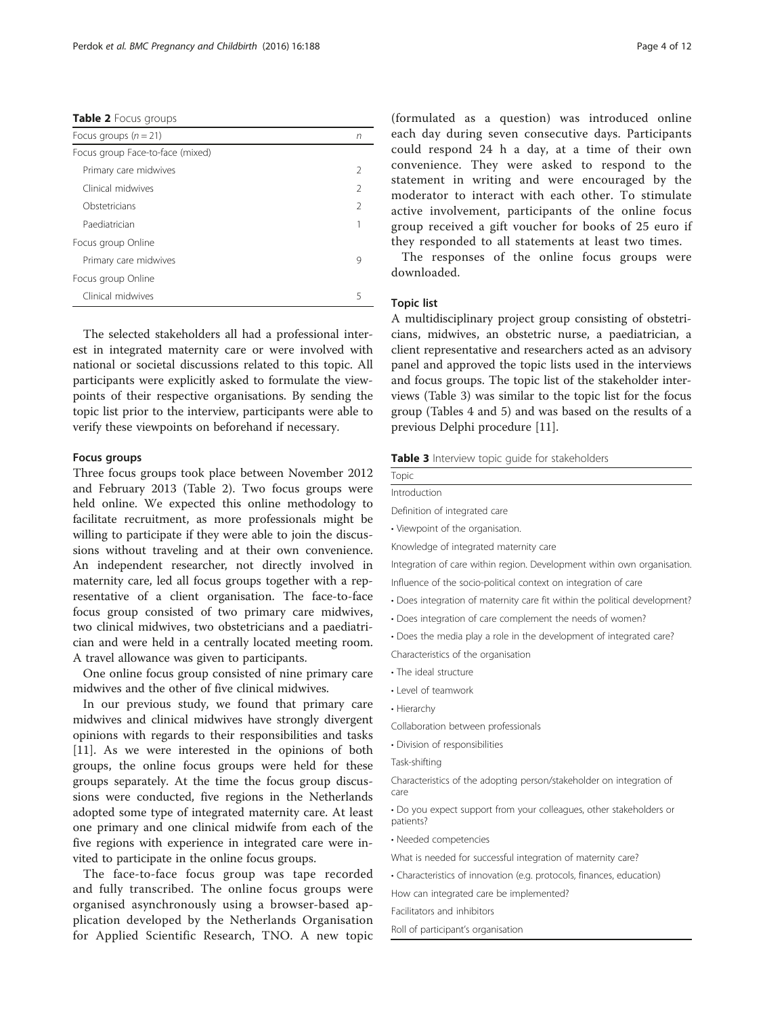<span id="page-3-0"></span>Table 2 Focus groups

| Focus groups $(n = 21)$          | n |
|----------------------------------|---|
| Focus group Face-to-face (mixed) |   |
| Primary care midwives            | 2 |
| Clinical midwives                | 2 |
| Obstetricians                    | 2 |
| Paediatrician                    |   |
| Focus group Online               |   |
| Primary care midwives            | 9 |
| Focus group Online               |   |
| Clinical midwives                |   |

The selected stakeholders all had a professional interest in integrated maternity care or were involved with national or societal discussions related to this topic. All participants were explicitly asked to formulate the viewpoints of their respective organisations. By sending the topic list prior to the interview, participants were able to verify these viewpoints on beforehand if necessary.

#### Focus groups

Three focus groups took place between November 2012 and February 2013 (Table 2). Two focus groups were held online. We expected this online methodology to facilitate recruitment, as more professionals might be willing to participate if they were able to join the discussions without traveling and at their own convenience. An independent researcher, not directly involved in maternity care, led all focus groups together with a representative of a client organisation. The face-to-face focus group consisted of two primary care midwives, two clinical midwives, two obstetricians and a paediatrician and were held in a centrally located meeting room. A travel allowance was given to participants.

One online focus group consisted of nine primary care midwives and the other of five clinical midwives.

In our previous study, we found that primary care midwives and clinical midwives have strongly divergent opinions with regards to their responsibilities and tasks [[11\]](#page-11-0). As we were interested in the opinions of both groups, the online focus groups were held for these groups separately. At the time the focus group discussions were conducted, five regions in the Netherlands adopted some type of integrated maternity care. At least one primary and one clinical midwife from each of the five regions with experience in integrated care were invited to participate in the online focus groups.

The face-to-face focus group was tape recorded and fully transcribed. The online focus groups were organised asynchronously using a browser-based application developed by the Netherlands Organisation for Applied Scientific Research, TNO. A new topic

(formulated as a question) was introduced online each day during seven consecutive days. Participants could respond 24 h a day, at a time of their own convenience. They were asked to respond to the statement in writing and were encouraged by the moderator to interact with each other. To stimulate active involvement, participants of the online focus group received a gift voucher for books of 25 euro if they responded to all statements at least two times.

The responses of the online focus groups were downloaded.

#### Topic list

A multidisciplinary project group consisting of obstetricians, midwives, an obstetric nurse, a paediatrician, a client representative and researchers acted as an advisory panel and approved the topic lists used in the interviews and focus groups. The topic list of the stakeholder interviews (Table 3) was similar to the topic list for the focus group (Tables [4](#page-4-0) and [5](#page-4-0)) and was based on the results of a previous Delphi procedure [[11\]](#page-11-0).

#### Table 3 Interview topic quide for stakeholders

| Topic                                                                      |
|----------------------------------------------------------------------------|
| Introduction                                                               |
| Definition of integrated care                                              |
| • Viewpoint of the organisation.                                           |
| Knowledge of integrated maternity care                                     |
| Integration of care within region. Development within own organisation.    |
| Influence of the socio-political context on integration of care            |
| • Does integration of maternity care fit within the political development? |
| • Does integration of care complement the needs of women?                  |
| . Does the media play a role in the development of integrated care?        |
| Characteristics of the organisation                                        |
| • The ideal structure                                                      |
| • Level of teamwork                                                        |
| • Hierarchy                                                                |
| Collaboration between professionals                                        |
| · Division of responsibilities                                             |
| Task-shifting                                                              |

Characteristics of the adopting person/stakeholder on integration of care

• Do you expect support from your colleagues, other stakeholders or patients?

• Needed competencies

What is needed for successful integration of maternity care?

• Characteristics of innovation (e.g. protocols, finances, education)

How can integrated care be implemented?

Facilitators and inhibitors

Roll of participant's organisation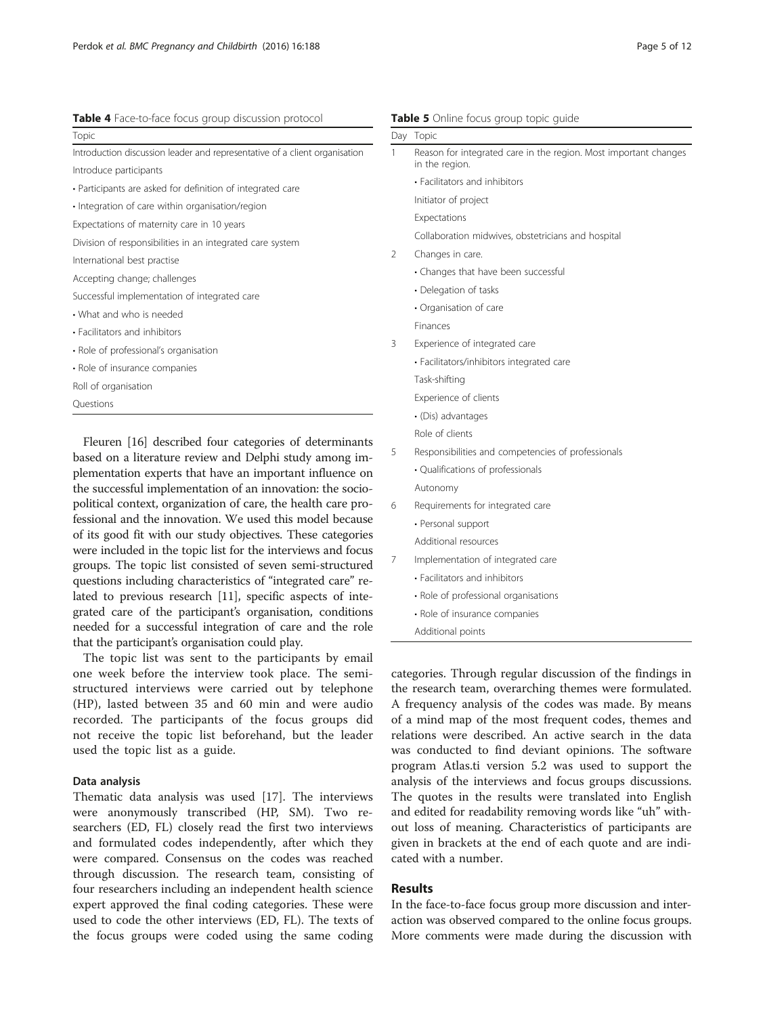#### <span id="page-4-0"></span>Table 4 Face-to-face focus group discussion protocol

| Topic                                                                      |  |
|----------------------------------------------------------------------------|--|
| Introduction discussion leader and representative of a client organisation |  |
| Introduce participants                                                     |  |
| • Participants are asked for definition of integrated care                 |  |
| · Integration of care within organisation/region                           |  |
| Expectations of maternity care in 10 years                                 |  |
| Division of responsibilities in an integrated care system                  |  |
| International best practise                                                |  |
| Accepting change; challenges                                               |  |
| Successful implementation of integrated care                               |  |
| • What and who is needed                                                   |  |
| · Facilitators and inhibitors                                              |  |
| · Role of professional's organisation                                      |  |
| · Role of insurance companies                                              |  |
| Roll of organisation                                                       |  |
| Questions                                                                  |  |

based on a literature review and Delphi study among implementation experts that have an important influence on the successful implementation of an innovation: the sociopolitical context, organization of care, the health care professional and the innovation. We used this model because of its good fit with our study objectives. These categories were included in the topic list for the interviews and focus groups. The topic list consisted of seven semi-structured questions including characteristics of "integrated care" related to previous research [[11](#page-11-0)], specific aspects of integrated care of the participant's organisation, conditions needed for a successful integration of care and the role that the participant's organisation could play.

The topic list was sent to the participants by email one week before the interview took place. The semistructured interviews were carried out by telephone (HP), lasted between 35 and 60 min and were audio recorded. The participants of the focus groups did not receive the topic list beforehand, but the leader used the topic list as a guide.

#### Data analysis

Thematic data analysis was used [\[17](#page-11-0)]. The interviews were anonymously transcribed (HP, SM). Two researchers (ED, FL) closely read the first two interviews and formulated codes independently, after which they were compared. Consensus on the codes was reached through discussion. The research team, consisting of four researchers including an independent health science expert approved the final coding categories. These were used to code the other interviews (ED, FL). The texts of the focus groups were coded using the same coding

|               | Day Topic                                                                          |
|---------------|------------------------------------------------------------------------------------|
| 1             | Reason for integrated care in the region. Most important changes<br>in the region. |
|               | • Facilitators and inhibitors                                                      |
|               | Initiator of project                                                               |
|               | Expectations                                                                       |
|               | Collaboration midwives, obstetricians and hospital                                 |
| $\mathcal{P}$ | Changes in care.                                                                   |
|               | • Changes that have been successful                                                |
|               | • Delegation of tasks                                                              |
|               | • Organisation of care                                                             |
|               | <b>Finances</b>                                                                    |
| 3             | Experience of integrated care                                                      |
|               | • Facilitators/inhibitors integrated care                                          |
|               | Task-shifting                                                                      |
|               | Experience of clients                                                              |
|               | · (Dis) advantages                                                                 |
|               | Role of clients                                                                    |
| 5             | Responsibilities and competencies of professionals                                 |
|               | · Qualifications of professionals                                                  |
|               | Autonomy                                                                           |
| 6             | Requirements for integrated care                                                   |
|               | • Personal support                                                                 |
|               | Additional resources                                                               |
| 7             | Implementation of integrated care                                                  |
|               | • Facilitators and inhibitors                                                      |
|               | · Role of professional organisations                                               |
|               | · Role of insurance companies                                                      |
|               | Additional points                                                                  |

categories. Through regular discussion of the findings in the research team, overarching themes were formulated. A frequency analysis of the codes was made. By means of a mind map of the most frequent codes, themes and relations were described. An active search in the data was conducted to find deviant opinions. The software program Atlas.ti version 5.2 was used to support the analysis of the interviews and focus groups discussions. The quotes in the results were translated into English and edited for readability removing words like "uh" without loss of meaning. Characteristics of participants are given in brackets at the end of each quote and are indicated with a number.

## Results

In the face-to-face focus group more discussion and interaction was observed compared to the online focus groups. More comments were made during the discussion with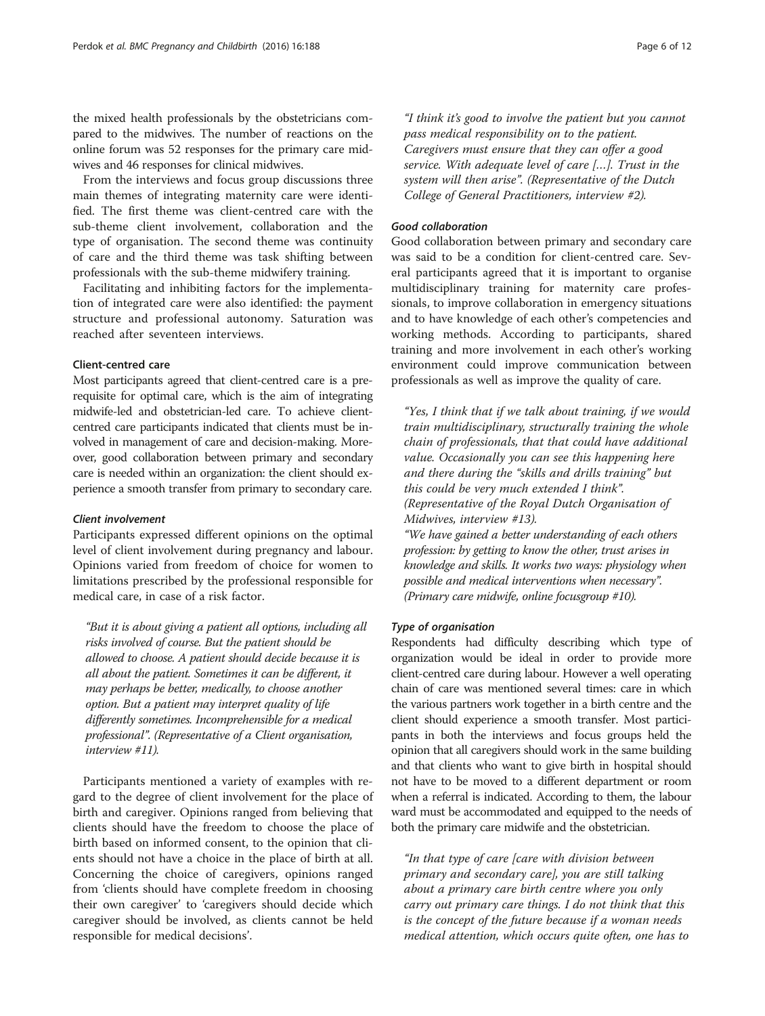the mixed health professionals by the obstetricians compared to the midwives. The number of reactions on the online forum was 52 responses for the primary care midwives and 46 responses for clinical midwives.

From the interviews and focus group discussions three main themes of integrating maternity care were identified. The first theme was client-centred care with the sub-theme client involvement, collaboration and the type of organisation. The second theme was continuity of care and the third theme was task shifting between professionals with the sub-theme midwifery training.

Facilitating and inhibiting factors for the implementation of integrated care were also identified: the payment structure and professional autonomy. Saturation was reached after seventeen interviews.

## Client-centred care

Most participants agreed that client-centred care is a prerequisite for optimal care, which is the aim of integrating midwife-led and obstetrician-led care. To achieve clientcentred care participants indicated that clients must be involved in management of care and decision-making. Moreover, good collaboration between primary and secondary care is needed within an organization: the client should experience a smooth transfer from primary to secondary care.

#### Client involvement

Participants expressed different opinions on the optimal level of client involvement during pregnancy and labour. Opinions varied from freedom of choice for women to limitations prescribed by the professional responsible for medical care, in case of a risk factor.

"But it is about giving a patient all options, including all risks involved of course. But the patient should be allowed to choose. A patient should decide because it is all about the patient. Sometimes it can be different, it may perhaps be better, medically, to choose another option. But a patient may interpret quality of life differently sometimes. Incomprehensible for a medical professional". (Representative of a Client organisation, interview #11).

Participants mentioned a variety of examples with regard to the degree of client involvement for the place of birth and caregiver. Opinions ranged from believing that clients should have the freedom to choose the place of birth based on informed consent, to the opinion that clients should not have a choice in the place of birth at all. Concerning the choice of caregivers, opinions ranged from 'clients should have complete freedom in choosing their own caregiver' to 'caregivers should decide which caregiver should be involved, as clients cannot be held responsible for medical decisions'.

"I think it's good to involve the patient but you cannot pass medical responsibility on to the patient. Caregivers must ensure that they can offer a good service. With adequate level of care […]. Trust in the system will then arise". (Representative of the Dutch College of General Practitioners, interview #2).

### Good collaboration

Good collaboration between primary and secondary care was said to be a condition for client-centred care. Several participants agreed that it is important to organise multidisciplinary training for maternity care professionals, to improve collaboration in emergency situations and to have knowledge of each other's competencies and working methods. According to participants, shared training and more involvement in each other's working environment could improve communication between professionals as well as improve the quality of care.

"Yes, I think that if we talk about training, if we would train multidisciplinary, structurally training the whole chain of professionals, that that could have additional value. Occasionally you can see this happening here and there during the "skills and drills training" but this could be very much extended I think". (Representative of the Royal Dutch Organisation of Midwives, interview #13).

"We have gained a better understanding of each others profession: by getting to know the other, trust arises in knowledge and skills. It works two ways: physiology when possible and medical interventions when necessary". (Primary care midwife, online focusgroup #10).

### Type of organisation

Respondents had difficulty describing which type of organization would be ideal in order to provide more client-centred care during labour. However a well operating chain of care was mentioned several times: care in which the various partners work together in a birth centre and the client should experience a smooth transfer. Most participants in both the interviews and focus groups held the opinion that all caregivers should work in the same building and that clients who want to give birth in hospital should not have to be moved to a different department or room when a referral is indicated. According to them, the labour ward must be accommodated and equipped to the needs of both the primary care midwife and the obstetrician.

"In that type of care [care with division between primary and secondary care], you are still talking about a primary care birth centre where you only carry out primary care things. I do not think that this is the concept of the future because if a woman needs medical attention, which occurs quite often, one has to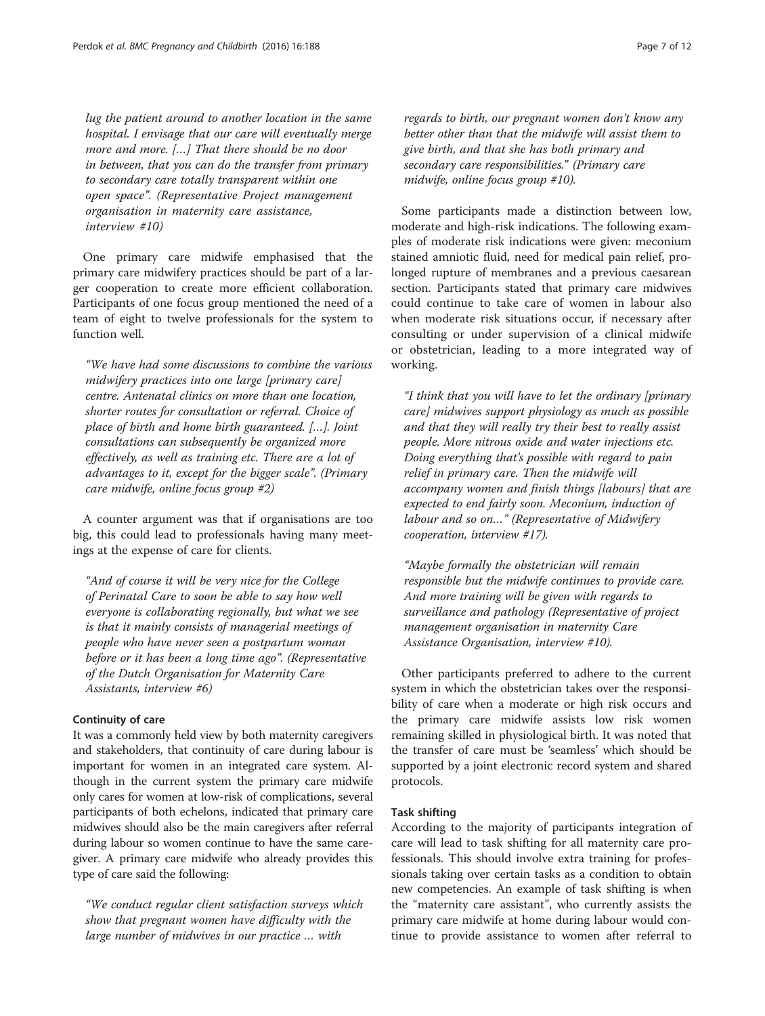lug the patient around to another location in the same hospital. I envisage that our care will eventually merge more and more. […] That there should be no door in between, that you can do the transfer from primary to secondary care totally transparent within one open space". (Representative Project management organisation in maternity care assistance, interview #10)

One primary care midwife emphasised that the primary care midwifery practices should be part of a larger cooperation to create more efficient collaboration. Participants of one focus group mentioned the need of a team of eight to twelve professionals for the system to function well.

"We have had some discussions to combine the various midwifery practices into one large [primary care] centre. Antenatal clinics on more than one location, shorter routes for consultation or referral. Choice of place of birth and home birth guaranteed. […]. Joint consultations can subsequently be organized more effectively, as well as training etc. There are a lot of advantages to it, except for the bigger scale". (Primary care midwife, online focus group #2)

A counter argument was that if organisations are too big, this could lead to professionals having many meetings at the expense of care for clients.

"And of course it will be very nice for the College of Perinatal Care to soon be able to say how well everyone is collaborating regionally, but what we see is that it mainly consists of managerial meetings of people who have never seen a postpartum woman before or it has been a long time ago". (Representative of the Dutch Organisation for Maternity Care Assistants, interview #6)

## Continuity of care

It was a commonly held view by both maternity caregivers and stakeholders, that continuity of care during labour is important for women in an integrated care system. Although in the current system the primary care midwife only cares for women at low-risk of complications, several participants of both echelons, indicated that primary care midwives should also be the main caregivers after referral during labour so women continue to have the same caregiver. A primary care midwife who already provides this type of care said the following:

"We conduct regular client satisfaction surveys which show that pregnant women have difficulty with the large number of midwives in our practice … with

regards to birth, our pregnant women don't know any better other than that the midwife will assist them to give birth, and that she has both primary and secondary care responsibilities." (Primary care midwife, online focus group #10).

Some participants made a distinction between low, moderate and high-risk indications. The following examples of moderate risk indications were given: meconium stained amniotic fluid, need for medical pain relief, prolonged rupture of membranes and a previous caesarean section. Participants stated that primary care midwives could continue to take care of women in labour also when moderate risk situations occur, if necessary after consulting or under supervision of a clinical midwife or obstetrician, leading to a more integrated way of working.

"I think that you will have to let the ordinary [primary care] midwives support physiology as much as possible and that they will really try their best to really assist people. More nitrous oxide and water injections etc. Doing everything that's possible with regard to pain relief in primary care. Then the midwife will accompany women and finish things [labours] that are expected to end fairly soon. Meconium, induction of labour and so on…" (Representative of Midwifery cooperation, interview #17).

"Maybe formally the obstetrician will remain responsible but the midwife continues to provide care. And more training will be given with regards to surveillance and pathology (Representative of project management organisation in maternity Care Assistance Organisation, interview #10).

Other participants preferred to adhere to the current system in which the obstetrician takes over the responsibility of care when a moderate or high risk occurs and the primary care midwife assists low risk women remaining skilled in physiological birth. It was noted that the transfer of care must be 'seamless' which should be supported by a joint electronic record system and shared protocols.

## Task shifting

According to the majority of participants integration of care will lead to task shifting for all maternity care professionals. This should involve extra training for professionals taking over certain tasks as a condition to obtain new competencies. An example of task shifting is when the "maternity care assistant", who currently assists the primary care midwife at home during labour would continue to provide assistance to women after referral to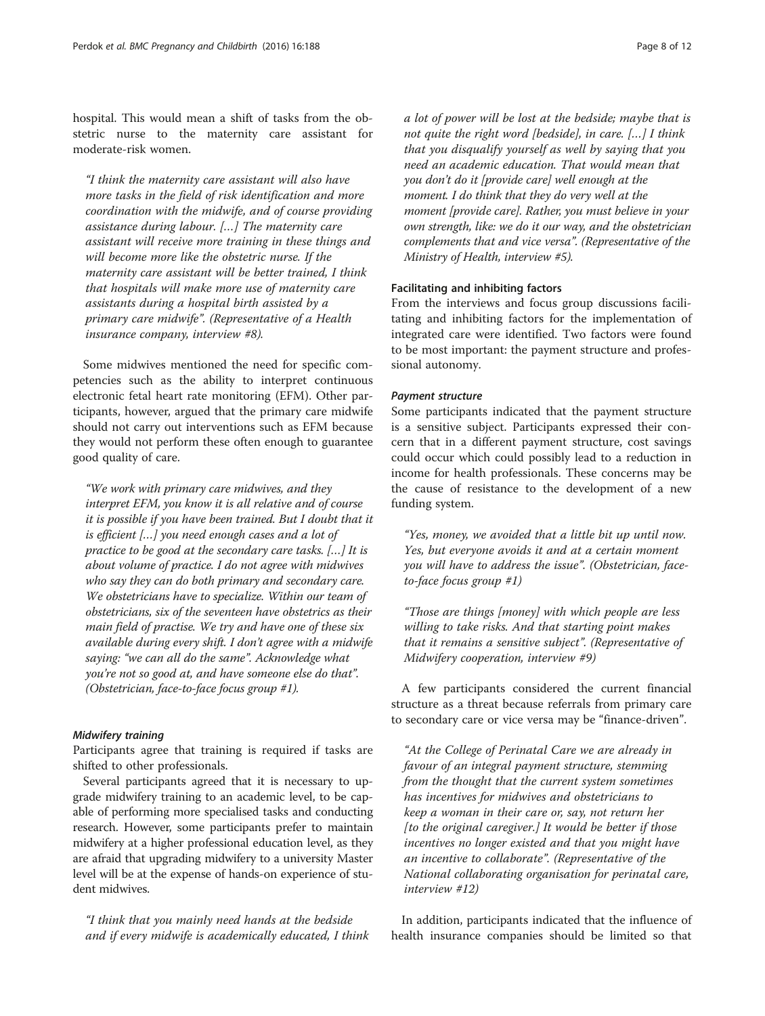hospital. This would mean a shift of tasks from the obstetric nurse to the maternity care assistant for moderate-risk women.

"I think the maternity care assistant will also have more tasks in the field of risk identification and more coordination with the midwife, and of course providing assistance during labour. […] The maternity care assistant will receive more training in these things and will become more like the obstetric nurse. If the maternity care assistant will be better trained, I think that hospitals will make more use of maternity care assistants during a hospital birth assisted by a primary care midwife". (Representative of a Health insurance company, interview #8).

Some midwives mentioned the need for specific competencies such as the ability to interpret continuous electronic fetal heart rate monitoring (EFM). Other participants, however, argued that the primary care midwife should not carry out interventions such as EFM because they would not perform these often enough to guarantee good quality of care.

"We work with primary care midwives, and they interpret EFM, you know it is all relative and of course it is possible if you have been trained. But I doubt that it is efficient […] you need enough cases and a lot of practice to be good at the secondary care tasks. […] It is about volume of practice. I do not agree with midwives who say they can do both primary and secondary care. We obstetricians have to specialize. Within our team of obstetricians, six of the seventeen have obstetrics as their main field of practise. We try and have one of these six available during every shift. I don't agree with a midwife saying: "we can all do the same". Acknowledge what you're not so good at, and have someone else do that". (Obstetrician, face-to-face focus group #1).

## Midwifery training

Participants agree that training is required if tasks are shifted to other professionals.

Several participants agreed that it is necessary to upgrade midwifery training to an academic level, to be capable of performing more specialised tasks and conducting research. However, some participants prefer to maintain midwifery at a higher professional education level, as they are afraid that upgrading midwifery to a university Master level will be at the expense of hands-on experience of student midwives.

"I think that you mainly need hands at the bedside and if every midwife is academically educated, I think a lot of power will be lost at the bedside; maybe that is not quite the right word [bedside], in care. […] I think that you disqualify yourself as well by saying that you need an academic education. That would mean that you don't do it [provide care] well enough at the moment. I do think that they do very well at the moment [provide care]. Rather, you must believe in your own strength, like: we do it our way, and the obstetrician complements that and vice versa". (Representative of the Ministry of Health, interview #5).

## Facilitating and inhibiting factors

From the interviews and focus group discussions facilitating and inhibiting factors for the implementation of integrated care were identified. Two factors were found to be most important: the payment structure and professional autonomy.

### Payment structure

Some participants indicated that the payment structure is a sensitive subject. Participants expressed their concern that in a different payment structure, cost savings could occur which could possibly lead to a reduction in income for health professionals. These concerns may be the cause of resistance to the development of a new funding system.

"Yes, money, we avoided that a little bit up until now. Yes, but everyone avoids it and at a certain moment you will have to address the issue". (Obstetrician, faceto-face focus group #1)

"Those are things [money] with which people are less willing to take risks. And that starting point makes that it remains a sensitive subject". (Representative of Midwifery cooperation, interview #9)

A few participants considered the current financial structure as a threat because referrals from primary care to secondary care or vice versa may be "finance-driven".

"At the College of Perinatal Care we are already in favour of an integral payment structure, stemming from the thought that the current system sometimes has incentives for midwives and obstetricians to keep a woman in their care or, say, not return her [to the original caregiver.] It would be better if those incentives no longer existed and that you might have an incentive to collaborate". (Representative of the National collaborating organisation for perinatal care, interview #12)

In addition, participants indicated that the influence of health insurance companies should be limited so that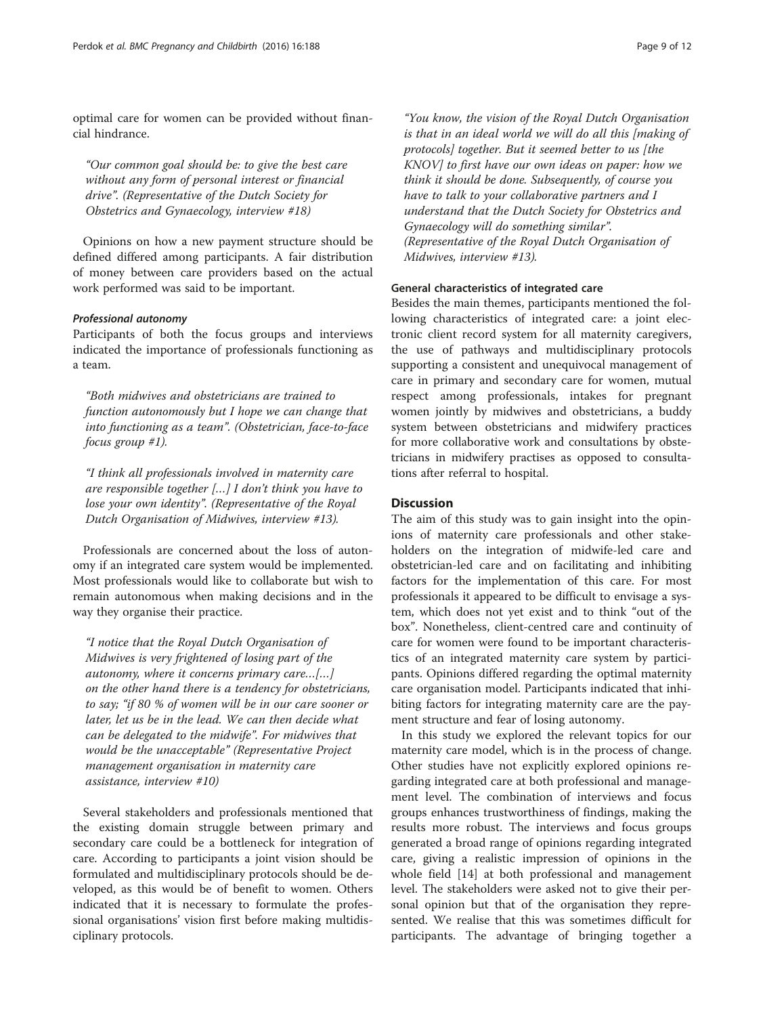optimal care for women can be provided without financial hindrance.

"Our common goal should be: to give the best care without any form of personal interest or financial drive". (Representative of the Dutch Society for Obstetrics and Gynaecology, interview #18)

Opinions on how a new payment structure should be defined differed among participants. A fair distribution of money between care providers based on the actual work performed was said to be important.

## Professional autonomy

Participants of both the focus groups and interviews indicated the importance of professionals functioning as a team.

"Both midwives and obstetricians are trained to function autonomously but I hope we can change that into functioning as a team". (Obstetrician, face-to-face focus group #1).

"I think all professionals involved in maternity care are responsible together […] I don't think you have to lose your own identity". (Representative of the Royal Dutch Organisation of Midwives, interview #13).

Professionals are concerned about the loss of autonomy if an integrated care system would be implemented. Most professionals would like to collaborate but wish to remain autonomous when making decisions and in the way they organise their practice.

"I notice that the Royal Dutch Organisation of Midwives is very frightened of losing part of the autonomy, where it concerns primary care…[…] on the other hand there is a tendency for obstetricians, to say; "if 80 % of women will be in our care sooner or later, let us be in the lead. We can then decide what can be delegated to the midwife". For midwives that would be the unacceptable" (Representative Project management organisation in maternity care assistance, interview #10)

Several stakeholders and professionals mentioned that the existing domain struggle between primary and secondary care could be a bottleneck for integration of care. According to participants a joint vision should be formulated and multidisciplinary protocols should be developed, as this would be of benefit to women. Others indicated that it is necessary to formulate the professional organisations' vision first before making multidisciplinary protocols.

"You know, the vision of the Royal Dutch Organisation is that in an ideal world we will do all this [making of protocols] together. But it seemed better to us [the KNOV] to first have our own ideas on paper: how we think it should be done. Subsequently, of course you have to talk to your collaborative partners and I understand that the Dutch Society for Obstetrics and Gynaecology will do something similar". (Representative of the Royal Dutch Organisation of Midwives, interview #13).

## General characteristics of integrated care

Besides the main themes, participants mentioned the following characteristics of integrated care: a joint electronic client record system for all maternity caregivers, the use of pathways and multidisciplinary protocols supporting a consistent and unequivocal management of care in primary and secondary care for women, mutual respect among professionals, intakes for pregnant women jointly by midwives and obstetricians, a buddy system between obstetricians and midwifery practices for more collaborative work and consultations by obstetricians in midwifery practises as opposed to consultations after referral to hospital.

## **Discussion**

The aim of this study was to gain insight into the opinions of maternity care professionals and other stakeholders on the integration of midwife-led care and obstetrician-led care and on facilitating and inhibiting factors for the implementation of this care. For most professionals it appeared to be difficult to envisage a system, which does not yet exist and to think "out of the box". Nonetheless, client-centred care and continuity of care for women were found to be important characteristics of an integrated maternity care system by participants. Opinions differed regarding the optimal maternity care organisation model. Participants indicated that inhibiting factors for integrating maternity care are the payment structure and fear of losing autonomy.

In this study we explored the relevant topics for our maternity care model, which is in the process of change. Other studies have not explicitly explored opinions regarding integrated care at both professional and management level. The combination of interviews and focus groups enhances trustworthiness of findings, making the results more robust. The interviews and focus groups generated a broad range of opinions regarding integrated care, giving a realistic impression of opinions in the whole field [\[14\]](#page-11-0) at both professional and management level. The stakeholders were asked not to give their personal opinion but that of the organisation they represented. We realise that this was sometimes difficult for participants. The advantage of bringing together a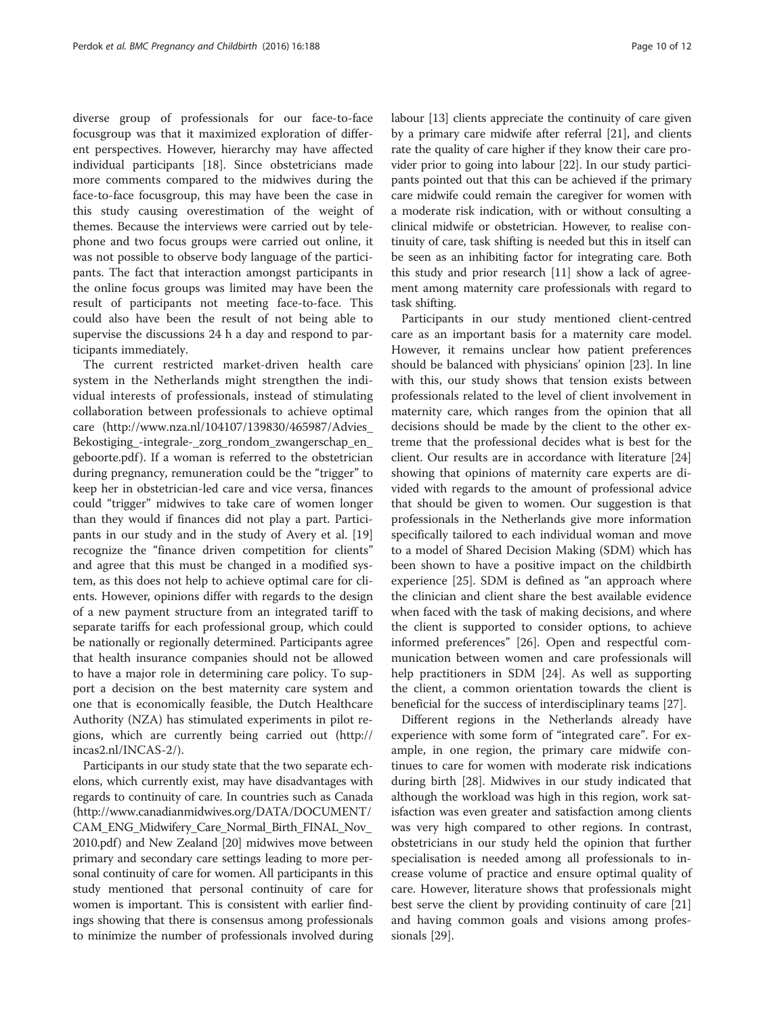diverse group of professionals for our face-to-face focusgroup was that it maximized exploration of different perspectives. However, hierarchy may have affected individual participants [[18\]](#page-11-0). Since obstetricians made more comments compared to the midwives during the face-to-face focusgroup, this may have been the case in this study causing overestimation of the weight of themes. Because the interviews were carried out by telephone and two focus groups were carried out online, it was not possible to observe body language of the participants. The fact that interaction amongst participants in the online focus groups was limited may have been the result of participants not meeting face-to-face. This could also have been the result of not being able to supervise the discussions 24 h a day and respond to participants immediately.

The current restricted market-driven health care system in the Netherlands might strengthen the individual interests of professionals, instead of stimulating collaboration between professionals to achieve optimal care ([http://www.nza.nl/104107/139830/465987/Advies\\_](http://www.nza.nl/104107/139830/465987/Advies_Bekostiging_-integrale-_zorg_rondom_zwangerschap_en_geboorte.pdf) [Bekostiging\\_-integrale-\\_zorg\\_rondom\\_zwangerschap\\_en\\_](http://www.nza.nl/104107/139830/465987/Advies_Bekostiging_-integrale-_zorg_rondom_zwangerschap_en_geboorte.pdf) [geboorte.pdf](http://www.nza.nl/104107/139830/465987/Advies_Bekostiging_-integrale-_zorg_rondom_zwangerschap_en_geboorte.pdf)). If a woman is referred to the obstetrician during pregnancy, remuneration could be the "trigger" to keep her in obstetrician-led care and vice versa, finances could "trigger" midwives to take care of women longer than they would if finances did not play a part. Participants in our study and in the study of Avery et al. [[19](#page-11-0)] recognize the "finance driven competition for clients" and agree that this must be changed in a modified system, as this does not help to achieve optimal care for clients. However, opinions differ with regards to the design of a new payment structure from an integrated tariff to separate tariffs for each professional group, which could be nationally or regionally determined. Participants agree that health insurance companies should not be allowed to have a major role in determining care policy. To support a decision on the best maternity care system and one that is economically feasible, the Dutch Healthcare Authority (NZA) has stimulated experiments in pilot regions, which are currently being carried out [\(http://](http://incas2.nl/INCAS-2/) [incas2.nl/INCAS-2/\)](http://incas2.nl/INCAS-2/).

Participants in our study state that the two separate echelons, which currently exist, may have disadvantages with regards to continuity of care. In countries such as Canada ([http://www.canadianmidwives.org/DATA/DOCUMENT/](http://www.canadianmidwives.org/DATA/DOCUMENT/CAM_ENG_Midwifery_Care_Normal_Birth_FINAL_Nov_2010.pdf) [CAM\\_ENG\\_Midwifery\\_Care\\_Normal\\_Birth\\_FINAL\\_Nov\\_](http://www.canadianmidwives.org/DATA/DOCUMENT/CAM_ENG_Midwifery_Care_Normal_Birth_FINAL_Nov_2010.pdf) [2010.pdf](http://www.canadianmidwives.org/DATA/DOCUMENT/CAM_ENG_Midwifery_Care_Normal_Birth_FINAL_Nov_2010.pdf)) and New Zealand [[20](#page-11-0)] midwives move between primary and secondary care settings leading to more personal continuity of care for women. All participants in this study mentioned that personal continuity of care for women is important. This is consistent with earlier findings showing that there is consensus among professionals to minimize the number of professionals involved during labour [[13](#page-11-0)] clients appreciate the continuity of care given by a primary care midwife after referral [\[21](#page-11-0)], and clients rate the quality of care higher if they know their care provider prior to going into labour [\[22\]](#page-11-0). In our study participants pointed out that this can be achieved if the primary care midwife could remain the caregiver for women with a moderate risk indication, with or without consulting a clinical midwife or obstetrician. However, to realise continuity of care, task shifting is needed but this in itself can be seen as an inhibiting factor for integrating care. Both

this study and prior research [\[11\]](#page-11-0) show a lack of agreement among maternity care professionals with regard to

task shifting. Participants in our study mentioned client-centred care as an important basis for a maternity care model. However, it remains unclear how patient preferences should be balanced with physicians' opinion [\[23](#page-11-0)]. In line with this, our study shows that tension exists between professionals related to the level of client involvement in maternity care, which ranges from the opinion that all decisions should be made by the client to the other extreme that the professional decides what is best for the client. Our results are in accordance with literature [[24](#page-11-0)] showing that opinions of maternity care experts are divided with regards to the amount of professional advice that should be given to women. Our suggestion is that professionals in the Netherlands give more information specifically tailored to each individual woman and move to a model of Shared Decision Making (SDM) which has been shown to have a positive impact on the childbirth experience [\[25](#page-11-0)]. SDM is defined as "an approach where the clinician and client share the best available evidence when faced with the task of making decisions, and where the client is supported to consider options, to achieve informed preferences" [\[26](#page-11-0)]. Open and respectful communication between women and care professionals will help practitioners in SDM [[24\]](#page-11-0). As well as supporting the client, a common orientation towards the client is beneficial for the success of interdisciplinary teams [\[27](#page-11-0)].

Different regions in the Netherlands already have experience with some form of "integrated care". For example, in one region, the primary care midwife continues to care for women with moderate risk indications during birth [[28\]](#page-11-0). Midwives in our study indicated that although the workload was high in this region, work satisfaction was even greater and satisfaction among clients was very high compared to other regions. In contrast, obstetricians in our study held the opinion that further specialisation is needed among all professionals to increase volume of practice and ensure optimal quality of care. However, literature shows that professionals might best serve the client by providing continuity of care [[21](#page-11-0)] and having common goals and visions among professionals [\[29](#page-11-0)].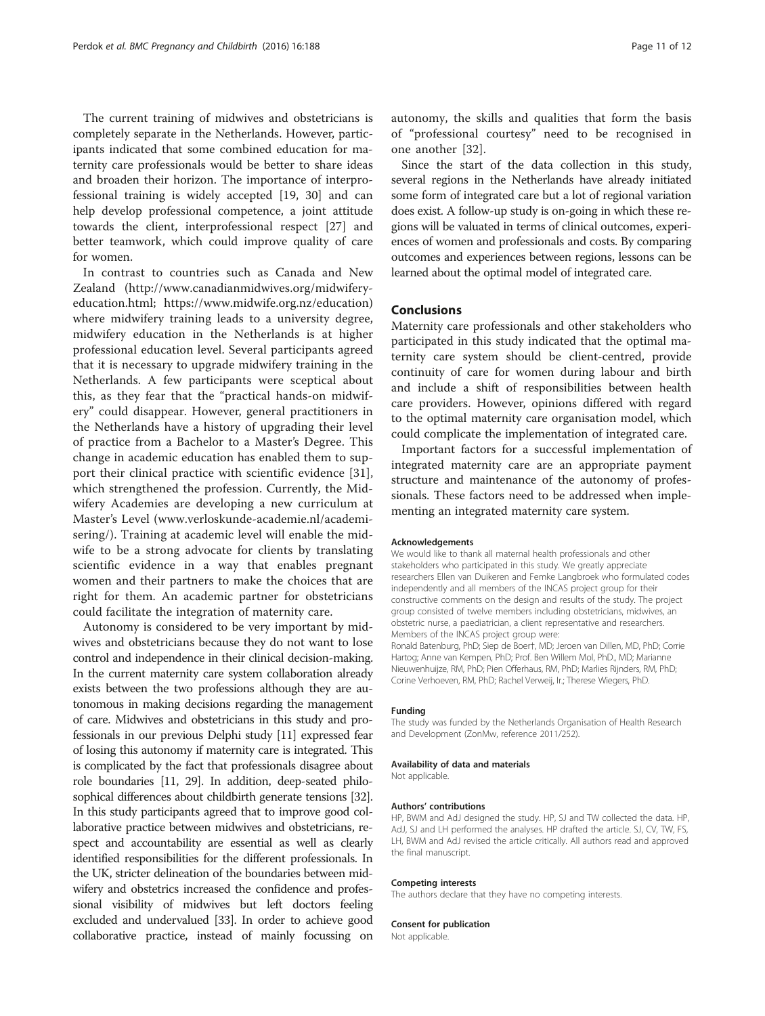The current training of midwives and obstetricians is completely separate in the Netherlands. However, participants indicated that some combined education for maternity care professionals would be better to share ideas and broaden their horizon. The importance of interprofessional training is widely accepted [[19](#page-11-0), [30\]](#page-11-0) and can help develop professional competence, a joint attitude towards the client, interprofessional respect [[27](#page-11-0)] and better teamwork, which could improve quality of care for women.

In contrast to countries such as Canada and New Zealand [\(http://www.canadianmidwives.org/midwifery](http://www.canadianmidwives.org/midwifery-education.html)[education.html](http://www.canadianmidwives.org/midwifery-education.html);<https://www.midwife.org.nz/education>) where midwifery training leads to a university degree, midwifery education in the Netherlands is at higher professional education level. Several participants agreed that it is necessary to upgrade midwifery training in the Netherlands. A few participants were sceptical about this, as they fear that the "practical hands-on midwifery" could disappear. However, general practitioners in the Netherlands have a history of upgrading their level of practice from a Bachelor to a Master's Degree. This change in academic education has enabled them to support their clinical practice with scientific evidence [\[31](#page-11-0)], which strengthened the profession. Currently, the Midwifery Academies are developing a new curriculum at Master's Level ([www.verloskunde-academie.nl/academi](http://www.verloskunde-academie.nl/academisering/)[sering/](http://www.verloskunde-academie.nl/academisering/)). Training at academic level will enable the midwife to be a strong advocate for clients by translating scientific evidence in a way that enables pregnant women and their partners to make the choices that are right for them. An academic partner for obstetricians could facilitate the integration of maternity care.

Autonomy is considered to be very important by midwives and obstetricians because they do not want to lose control and independence in their clinical decision-making. In the current maternity care system collaboration already exists between the two professions although they are autonomous in making decisions regarding the management of care. Midwives and obstetricians in this study and professionals in our previous Delphi study [\[11\]](#page-11-0) expressed fear of losing this autonomy if maternity care is integrated. This is complicated by the fact that professionals disagree about role boundaries [\[11](#page-11-0), [29\]](#page-11-0). In addition, deep-seated philosophical differences about childbirth generate tensions [\[32](#page-11-0)]. In this study participants agreed that to improve good collaborative practice between midwives and obstetricians, respect and accountability are essential as well as clearly identified responsibilities for the different professionals. In the UK, stricter delineation of the boundaries between midwifery and obstetrics increased the confidence and professional visibility of midwives but left doctors feeling excluded and undervalued [\[33](#page-11-0)]. In order to achieve good collaborative practice, instead of mainly focussing on autonomy, the skills and qualities that form the basis of "professional courtesy" need to be recognised in one another [\[32](#page-11-0)].

Since the start of the data collection in this study, several regions in the Netherlands have already initiated some form of integrated care but a lot of regional variation does exist. A follow-up study is on-going in which these regions will be valuated in terms of clinical outcomes, experiences of women and professionals and costs. By comparing outcomes and experiences between regions, lessons can be learned about the optimal model of integrated care.

## Conclusions

Maternity care professionals and other stakeholders who participated in this study indicated that the optimal maternity care system should be client-centred, provide continuity of care for women during labour and birth and include a shift of responsibilities between health care providers. However, opinions differed with regard to the optimal maternity care organisation model, which could complicate the implementation of integrated care.

Important factors for a successful implementation of integrated maternity care are an appropriate payment structure and maintenance of the autonomy of professionals. These factors need to be addressed when implementing an integrated maternity care system.

#### Acknowledgements

We would like to thank all maternal health professionals and other stakeholders who participated in this study. We greatly appreciate researchers Ellen van Duikeren and Femke Langbroek who formulated codes independently and all members of the INCAS project group for their constructive comments on the design and results of the study. The project group consisted of twelve members including obstetricians, midwives, an obstetric nurse, a paediatrician, a client representative and researchers. Members of the INCAS project group were:

Ronald Batenburg, PhD; Siep de Boer†, MD; Jeroen van Dillen, MD, PhD; Corrie Hartog; Anne van Kempen, PhD; Prof. Ben Willem Mol, PhD., MD; Marianne Nieuwenhuijze, RM, PhD; Pien Offerhaus, RM, PhD; Marlies Rijnders, RM, PhD; Corine Verhoeven, RM, PhD; Rachel Verweij, Ir.; Therese Wiegers, PhD.

#### Funding

The study was funded by the Netherlands Organisation of Health Research and Development (ZonMw, reference 2011/252).

#### Availability of data and materials

Not applicable.

#### Authors' contributions

HP, BWM and AdJ designed the study. HP, SJ and TW collected the data. HP, AdJ, SJ and LH performed the analyses. HP drafted the article. SJ, CV, TW, FS, LH, BWM and AdJ revised the article critically. All authors read and approved the final manuscript.

#### Competing interests

The authors declare that they have no competing interests.

#### Consent for publication

Not applicable.